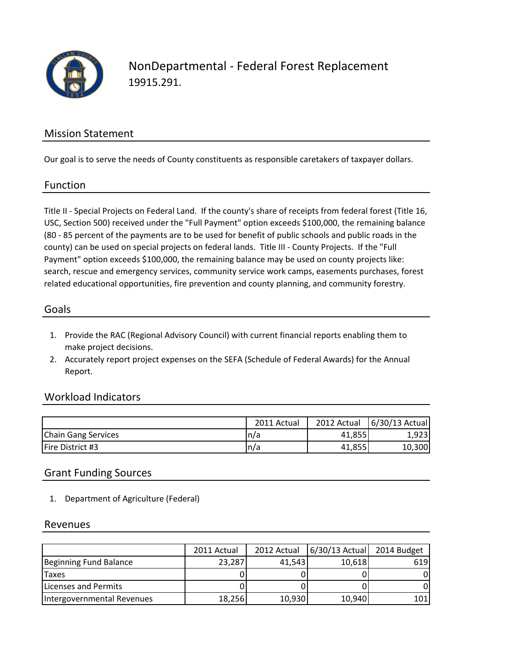

NonDepartmental - Federal Forest Replacement 19915.291.

### Mission Statement

Our goal is to serve the needs of County constituents as responsible caretakers of taxpayer dollars.

#### Function

Title II - Special Projects on Federal Land. If the county's share of receipts from federal forest (Title 16, USC, Section 500) received under the "Full Payment" option exceeds \$100,000, the remaining balance (80 - 85 percent of the payments are to be used for benefit of public schools and public roads in the county) can be used on special projects on federal lands. Title III - County Projects. If the "Full Payment" option exceeds \$100,000, the remaining balance may be used on county projects like: search, rescue and emergency services, community service work camps, easements purchases, forest related educational opportunities, fire prevention and county planning, and community forestry.

#### Goals

- 1. Provide the RAC (Regional Advisory Council) with current financial reports enabling them to make project decisions.
- 2. Accurately report project expenses on the SEFA (Schedule of Federal Awards) for the Annual Report.

#### Workload Indicators

|                            | 2011 Actual | 2012 Actual | 6/30/13 Actual |
|----------------------------|-------------|-------------|----------------|
| <b>Chain Gang Services</b> | In/a        | 41,855      | 1.9231         |
| Fire District #3           | n/a         | 41,855      | 10,300         |

#### Grant Funding Sources

1. Department of Agriculture (Federal)

#### Revenues

|                            | 2011 Actual | 2012 Actual | $6/30/13$ Actual | 2014 Budget |
|----------------------------|-------------|-------------|------------------|-------------|
| Beginning Fund Balance     | 23,287      | 41.543      | 10,618           | 6191        |
| <b>Taxes</b>               |             |             |                  |             |
| Licenses and Permits       |             |             |                  |             |
| Intergovernmental Revenues | 18,256      | 10,930      | 10,940           | 101         |